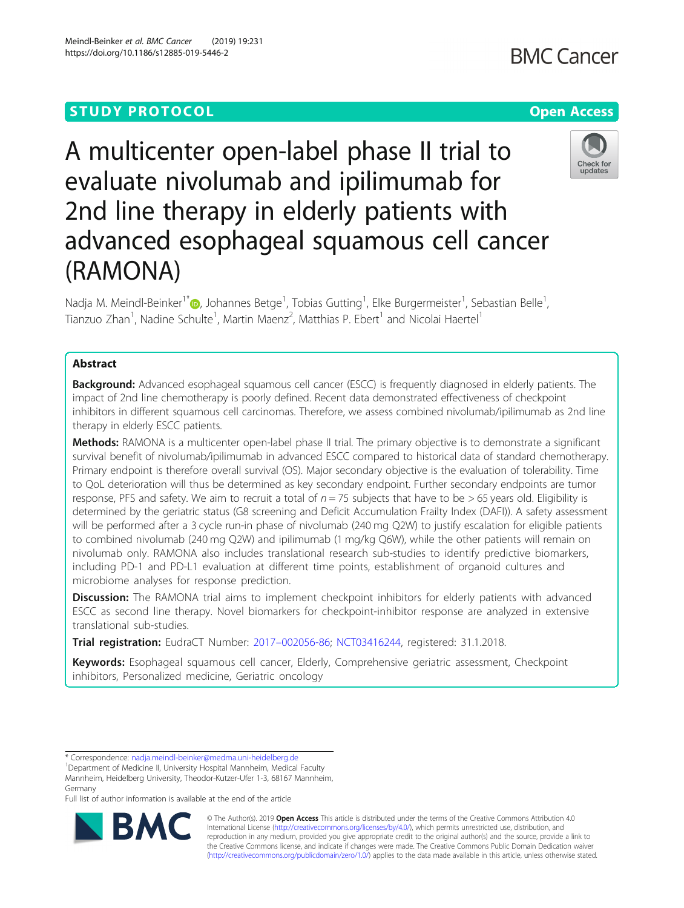## **STUDY PROTOCOL CONSUMING THE RESERVE ACCESS**

# A multicenter open-label phase II trial to evaluate nivolumab and ipilimumab for 2nd line therapy in elderly patients with advanced esophageal squamous cell cancer (RAMONA)

Nadja M. Meindl-Beinker<sup>1[\\*](http://orcid.org/0000-0003-0211-352X)</sup>®, Johannes Betge<sup>1</sup>, Tobias Gutting<sup>1</sup>, Elke Burgermeister<sup>1</sup>, Sebastian Belle<sup>1</sup> , Tianzuo Zhan<sup>1</sup>, Nadine Schulte<sup>1</sup>, Martin Maenz<sup>2</sup>, Matthias P. Ebert<sup>1</sup> and Nicolai Haertel<sup>1</sup>

### Abstract

**Background:** Advanced esophageal squamous cell cancer (ESCC) is frequently diagnosed in elderly patients. The impact of 2nd line chemotherapy is poorly defined. Recent data demonstrated effectiveness of checkpoint inhibitors in different squamous cell carcinomas. Therefore, we assess combined nivolumab/ipilimumab as 2nd line therapy in elderly ESCC patients.

Methods: RAMONA is a multicenter open-label phase II trial. The primary objective is to demonstrate a significant survival benefit of nivolumab/ipilimumab in advanced ESCC compared to historical data of standard chemotherapy. Primary endpoint is therefore overall survival (OS). Major secondary objective is the evaluation of tolerability. Time to QoL deterioration will thus be determined as key secondary endpoint. Further secondary endpoints are tumor response, PFS and safety. We aim to recruit a total of  $n = 75$  subjects that have to be  $> 65$  years old. Eligibility is determined by the geriatric status (G8 screening and Deficit Accumulation Frailty Index (DAFI)). A safety assessment will be performed after a 3 cycle run-in phase of nivolumab (240 mg Q2W) to justify escalation for eligible patients to combined nivolumab (240 mg Q2W) and ipilimumab (1 mg/kg Q6W), while the other patients will remain on nivolumab only. RAMONA also includes translational research sub-studies to identify predictive biomarkers, including PD-1 and PD-L1 evaluation at different time points, establishment of organoid cultures and microbiome analyses for response prediction.

**Discussion:** The RAMONA trial aims to implement checkpoint inhibitors for elderly patients with advanced ESCC as second line therapy. Novel biomarkers for checkpoint-inhibitor response are analyzed in extensive translational sub-studies.

**Trial registration:** EudraCT Number: 2017–[002056-86](https://www.clinicaltrialsregister.eu/ctr-search/trial/2017-002056-86/DE); [NCT03416244](https://clinicaltrials.gov/ct2/show/NCT03416244?term=03416244&rank=1), registered: 31.1.2018.

Keywords: Esophageal squamous cell cancer, Elderly, Comprehensive geriatric assessment, Checkpoint inhibitors, Personalized medicine, Geriatric oncology

<sup>1</sup>Department of Medicine II, University Hospital Mannheim, Medical Faculty Mannheim, Heidelberg University, Theodor-Kutzer-Ufer 1-3, 68167 Mannheim, Germany

Full list of author information is available at the end of the article

© The Author(s). 2019 **Open Access** This article is distributed under the terms of the Creative Commons Attribution 4.0 International License [\(http://creativecommons.org/licenses/by/4.0/](http://creativecommons.org/licenses/by/4.0/)), which permits unrestricted use, distribution, and reproduction in any medium, provided you give appropriate credit to the original author(s) and the source, provide a link to the Creative Commons license, and indicate if changes were made. The Creative Commons Public Domain Dedication waiver [\(http://creativecommons.org/publicdomain/zero/1.0/](http://creativecommons.org/publicdomain/zero/1.0/)) applies to the data made available in this article, unless otherwise stated.







<sup>\*</sup> Correspondence: [nadja.meindl-beinker@medma.uni-heidelberg.de](mailto:nadja.meindl-beinker@medma.uni-heidelberg.de) <sup>1</sup>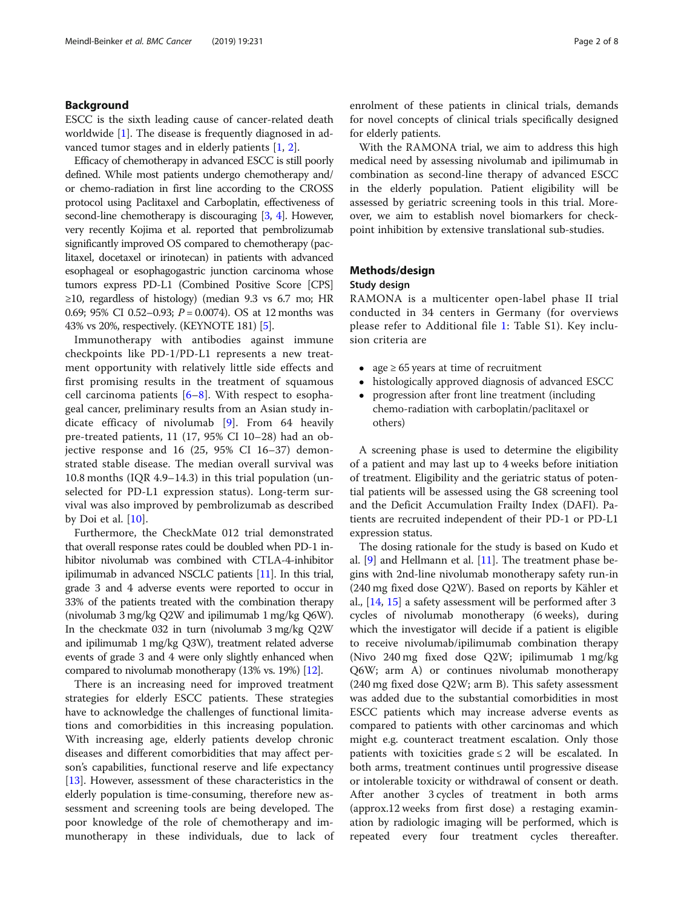#### Background

ESCC is the sixth leading cause of cancer-related death worldwide [\[1](#page-6-0)]. The disease is frequently diagnosed in advanced tumor stages and in elderly patients [[1,](#page-6-0) [2\]](#page-6-0).

Efficacy of chemotherapy in advanced ESCC is still poorly defined. While most patients undergo chemotherapy and/ or chemo-radiation in first line according to the CROSS protocol using Paclitaxel and Carboplatin, effectiveness of second-line chemotherapy is discouraging [\[3,](#page-6-0) [4](#page-6-0)]. However, very recently Kojima et al. reported that pembrolizumab significantly improved OS compared to chemotherapy (paclitaxel, docetaxel or irinotecan) in patients with advanced esophageal or esophagogastric junction carcinoma whose tumors express PD-L1 (Combined Positive Score [CPS]  $\geq$ 10, regardless of histology) (median 9.3 vs 6.7 mo; HR 0.69; 95% CI 0.52-0.93;  $P = 0.0074$ ). OS at 12 months was 43% vs 20%, respectively. (KEYNOTE 181) [\[5\]](#page-6-0).

Immunotherapy with antibodies against immune checkpoints like PD-1/PD-L1 represents a new treatment opportunity with relatively little side effects and first promising results in the treatment of squamous cell carcinoma patients  $[6-8]$  $[6-8]$  $[6-8]$  $[6-8]$ . With respect to esophageal cancer, preliminary results from an Asian study indicate efficacy of nivolumab [[9](#page-6-0)]. From 64 heavily pre-treated patients, 11 (17, 95% CI 10–28) had an objective response and 16 (25, 95% CI 16–37) demonstrated stable disease. The median overall survival was 10.8 months (IQR 4.9–14.3) in this trial population (unselected for PD-L1 expression status). Long-term survival was also improved by pembrolizumab as described by Doi et al.  $[10]$  $[10]$ .

Furthermore, the CheckMate 012 trial demonstrated that overall response rates could be doubled when PD-1 inhibitor nivolumab was combined with CTLA-4-inhibitor ipilimumab in advanced NSCLC patients [\[11\]](#page-6-0). In this trial, grade 3 and 4 adverse events were reported to occur in 33% of the patients treated with the combination therapy (nivolumab 3 mg/kg Q2W and ipilimumab 1 mg/kg Q6W). In the checkmate 032 in turn (nivolumab 3 mg/kg Q2W and ipilimumab 1 mg/kg Q3W), treatment related adverse events of grade 3 and 4 were only slightly enhanced when compared to nivolumab monotherapy (13% vs. 19%) [\[12](#page-6-0)].

There is an increasing need for improved treatment strategies for elderly ESCC patients. These strategies have to acknowledge the challenges of functional limitations and comorbidities in this increasing population. With increasing age, elderly patients develop chronic diseases and different comorbidities that may affect person's capabilities, functional reserve and life expectancy [[13\]](#page-6-0). However, assessment of these characteristics in the elderly population is time-consuming, therefore new assessment and screening tools are being developed. The poor knowledge of the role of chemotherapy and immunotherapy in these individuals, due to lack of enrolment of these patients in clinical trials, demands for novel concepts of clinical trials specifically designed for elderly patients.

With the RAMONA trial, we aim to address this high medical need by assessing nivolumab and ipilimumab in combination as second-line therapy of advanced ESCC in the elderly population. Patient eligibility will be assessed by geriatric screening tools in this trial. Moreover, we aim to establish novel biomarkers for checkpoint inhibition by extensive translational sub-studies.

#### Methods/design

#### Study design

RAMONA is a multicenter open-label phase II trial conducted in 34 centers in Germany (for overviews please refer to Additional file [1](#page-5-0): Table S1). Key inclusion criteria are

- age  $\geq 65$  years at time of recruitment
- histologically approved diagnosis of advanced ESCC
- progression after front line treatment (including chemo-radiation with carboplatin/paclitaxel or others)

A screening phase is used to determine the eligibility of a patient and may last up to 4 weeks before initiation of treatment. Eligibility and the geriatric status of potential patients will be assessed using the G8 screening tool and the Deficit Accumulation Frailty Index (DAFI). Patients are recruited independent of their PD-1 or PD-L1 expression status.

The dosing rationale for the study is based on Kudo et al. [\[9\]](#page-6-0) and Hellmann et al. [[11\]](#page-6-0). The treatment phase begins with 2nd-line nivolumab monotherapy safety run-in (240 mg fixed dose Q2W). Based on reports by Kähler et al., [\[14,](#page-6-0) [15\]](#page-6-0) a safety assessment will be performed after 3 cycles of nivolumab monotherapy (6 weeks), during which the investigator will decide if a patient is eligible to receive nivolumab/ipilimumab combination therapy (Nivo 240 mg fixed dose Q2W; ipilimumab 1 mg/kg Q6W; arm A) or continues nivolumab monotherapy (240 mg fixed dose Q2W; arm B). This safety assessment was added due to the substantial comorbidities in most ESCC patients which may increase adverse events as compared to patients with other carcinomas and which might e.g. counteract treatment escalation. Only those patients with toxicities grade  $\leq 2$  will be escalated. In both arms, treatment continues until progressive disease or intolerable toxicity or withdrawal of consent or death. After another 3 cycles of treatment in both arms (approx.12 weeks from first dose) a restaging examination by radiologic imaging will be performed, which is repeated every four treatment cycles thereafter.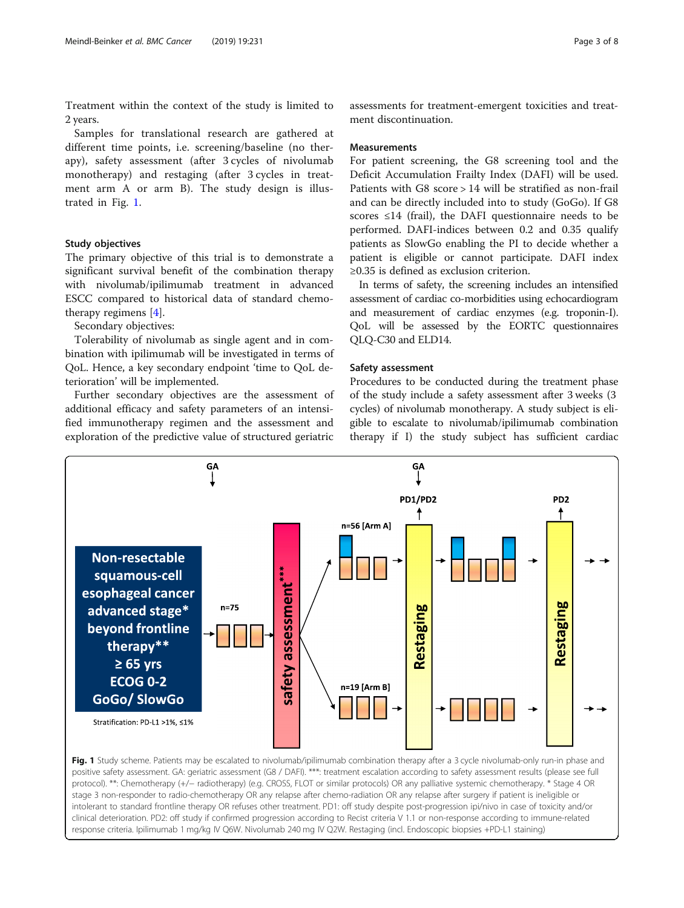Treatment within the context of the study is limited to 2 years.

Samples for translational research are gathered at different time points, i.e. screening/baseline (no therapy), safety assessment (after 3 cycles of nivolumab monotherapy) and restaging (after 3 cycles in treatment arm A or arm B). The study design is illustrated in Fig. 1.

#### Study objectives

The primary objective of this trial is to demonstrate a significant survival benefit of the combination therapy with nivolumab/ipilimumab treatment in advanced ESCC compared to historical data of standard chemotherapy regimens [\[4](#page-6-0)].

Secondary objectives:

Tolerability of nivolumab as single agent and in combination with ipilimumab will be investigated in terms of QoL. Hence, a key secondary endpoint 'time to QoL deterioration' will be implemented.

Further secondary objectives are the assessment of additional efficacy and safety parameters of an intensified immunotherapy regimen and the assessment and exploration of the predictive value of structured geriatric

assessments for treatment-emergent toxicities and treatment discontinuation.

#### **Measurements**

For patient screening, the G8 screening tool and the Deficit Accumulation Frailty Index (DAFI) will be used. Patients with G8 score > 14 will be stratified as non-frail and can be directly included into to study (GoGo). If G8 scores  $\leq$ 14 (frail), the DAFI questionnaire needs to be performed. DAFI-indices between 0.2 and 0.35 qualify patients as SlowGo enabling the PI to decide whether a patient is eligible or cannot participate. DAFI index ≥0.35 is defined as exclusion criterion.

In terms of safety, the screening includes an intensified assessment of cardiac co-morbidities using echocardiogram and measurement of cardiac enzymes (e.g. troponin-I). QoL will be assessed by the EORTC questionnaires QLQ-C30 and ELD14.

#### Safety assessment

Procedures to be conducted during the treatment phase of the study include a safety assessment after 3 weeks (3 cycles) of nivolumab monotherapy. A study subject is eligible to escalate to nivolumab/ipilimumab combination therapy if I) the study subject has sufficient cardiac



intolerant to standard frontline therapy OR refuses other treatment. PD1: off study despite post-progression ipi/nivo in case of toxicity and/or clinical deterioration. PD2: off study if confirmed progression according to Recist criteria V 1.1 or non-response according to immune-related response criteria. Ipilimumab 1 mg/kg IV Q6W. Nivolumab 240 mg IV Q2W. Restaging (incl. Endoscopic biopsies +PD-L1 staining)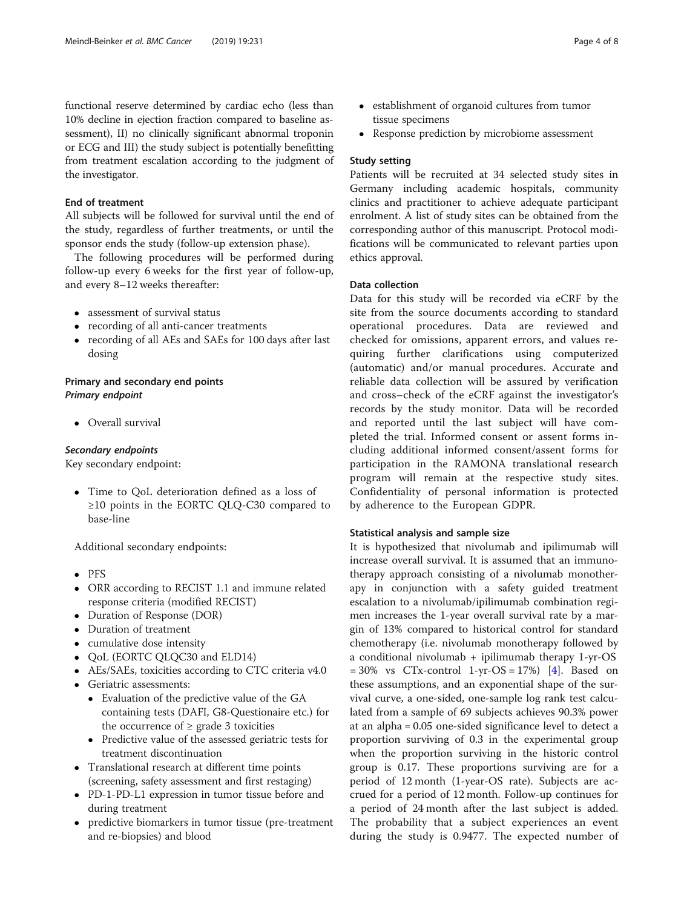functional reserve determined by cardiac echo (less than 10% decline in ejection fraction compared to baseline assessment), II) no clinically significant abnormal troponin or ECG and III) the study subject is potentially benefitting from treatment escalation according to the judgment of the investigator.

#### End of treatment

All subjects will be followed for survival until the end of the study, regardless of further treatments, or until the sponsor ends the study (follow-up extension phase).

The following procedures will be performed during follow-up every 6 weeks for the first year of follow-up, and every 8–12 weeks thereafter:

- assessment of survival status
- recording of all anti-cancer treatments
- recording of all AEs and SAEs for 100 days after last dosing

#### Primary and secondary end points Primary endpoint

• Overall survival

#### Secondary endpoints

Key secondary endpoint:

 Time to QoL deterioration defined as a loss of ≥10 points in the EORTC QLQ-C30 compared to base-line

Additional secondary endpoints:

- $\bullet$  PFS
- ORR according to RECIST 1.1 and immune related response criteria (modified RECIST)
- Duration of Response (DOR)
- Duration of treatment
- cumulative dose intensity
- QoL (EORTC QLQC30 and ELD14)
- AEs/SAEs, toxicities according to CTC criteria v4.0
- Geriatric assessments:
	- Evaluation of the predictive value of the GA containing tests (DAFI, G8-Questionaire etc.) for the occurrence of  $≥$  grade 3 toxicities
	- Predictive value of the assessed geriatric tests for treatment discontinuation
- Translational research at different time points (screening, safety assessment and first restaging)
- PD-1-PD-L1 expression in tumor tissue before and during treatment
- predictive biomarkers in tumor tissue (pre-treatment and re-biopsies) and blood
- establishment of organoid cultures from tumor tissue specimens
- Response prediction by microbiome assessment

#### Study setting

Patients will be recruited at 34 selected study sites in Germany including academic hospitals, community clinics and practitioner to achieve adequate participant enrolment. A list of study sites can be obtained from the corresponding author of this manuscript. Protocol modifications will be communicated to relevant parties upon ethics approval.

#### Data collection

Data for this study will be recorded via eCRF by the site from the source documents according to standard operational procedures. Data are reviewed and checked for omissions, apparent errors, and values requiring further clarifications using computerized (automatic) and/or manual procedures. Accurate and reliable data collection will be assured by verification and cross–check of the eCRF against the investigator's records by the study monitor. Data will be recorded and reported until the last subject will have completed the trial. Informed consent or assent forms including additional informed consent/assent forms for participation in the RAMONA translational research program will remain at the respective study sites. Confidentiality of personal information is protected by adherence to the European GDPR.

#### Statistical analysis and sample size

It is hypothesized that nivolumab and ipilimumab will increase overall survival. It is assumed that an immunotherapy approach consisting of a nivolumab monotherapy in conjunction with a safety guided treatment escalation to a nivolumab/ipilimumab combination regimen increases the 1-year overall survival rate by a margin of 13% compared to historical control for standard chemotherapy (i.e. nivolumab monotherapy followed by a conditional nivolumab + ipilimumab therapy 1-yr-OS  $= 30\%$  vs CTx-control 1-yr-OS  $= 17\%$ ) [\[4](#page-6-0)]. Based on these assumptions, and an exponential shape of the survival curve, a one-sided, one-sample log rank test calculated from a sample of 69 subjects achieves 90.3% power at an alpha = 0.05 one-sided significance level to detect a proportion surviving of 0.3 in the experimental group when the proportion surviving in the historic control group is 0.17. These proportions surviving are for a period of 12 month (1-year-OS rate). Subjects are accrued for a period of 12 month. Follow-up continues for a period of 24 month after the last subject is added. The probability that a subject experiences an event during the study is 0.9477. The expected number of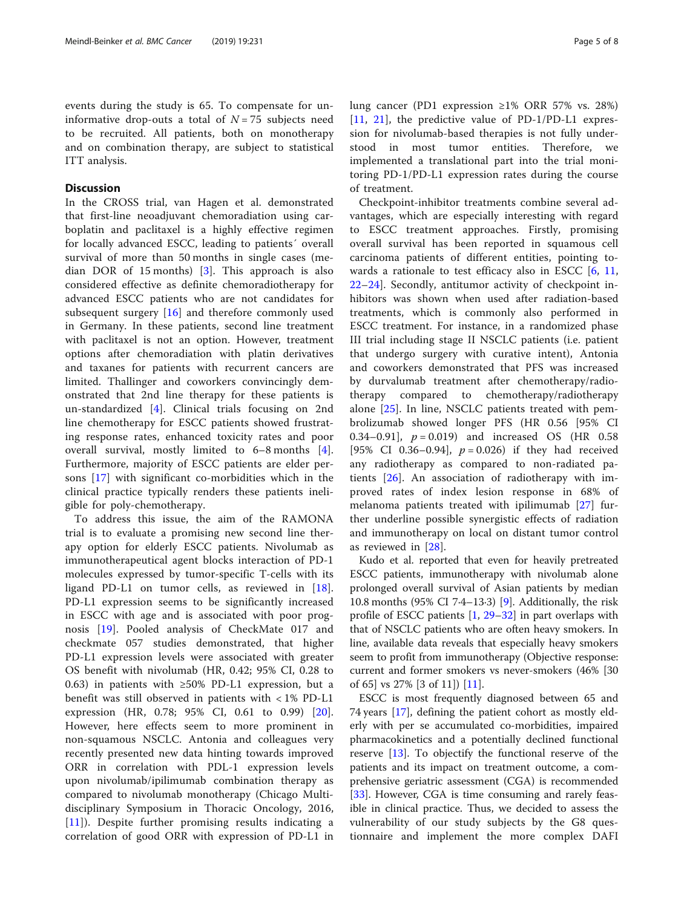events during the study is 65. To compensate for uninformative drop-outs a total of  $N = 75$  subjects need to be recruited. All patients, both on monotherapy and on combination therapy, are subject to statistical ITT analysis.

#### Discussion

In the CROSS trial, van Hagen et al. demonstrated that first-line neoadjuvant chemoradiation using carboplatin and paclitaxel is a highly effective regimen for locally advanced ESCC, leading to patients´ overall survival of more than 50 months in single cases (median DOR of 15 months)  $\begin{bmatrix} 3 \end{bmatrix}$ . This approach is also considered effective as definite chemoradiotherapy for advanced ESCC patients who are not candidates for subsequent surgery [\[16](#page-6-0)] and therefore commonly used in Germany. In these patients, second line treatment with paclitaxel is not an option. However, treatment options after chemoradiation with platin derivatives and taxanes for patients with recurrent cancers are limited. Thallinger and coworkers convincingly demonstrated that 2nd line therapy for these patients is un-standardized [[4\]](#page-6-0). Clinical trials focusing on 2nd line chemotherapy for ESCC patients showed frustrating response rates, enhanced toxicity rates and poor overall survival, mostly limited to 6–8 months [\[4](#page-6-0)]. Furthermore, majority of ESCC patients are elder persons [[17\]](#page-6-0) with significant co-morbidities which in the clinical practice typically renders these patients ineligible for poly-chemotherapy.

To address this issue, the aim of the RAMONA trial is to evaluate a promising new second line therapy option for elderly ESCC patients. Nivolumab as immunotherapeutical agent blocks interaction of PD-1 molecules expressed by tumor-specific T-cells with its ligand PD-L1 on tumor cells, as reviewed in [\[18](#page-6-0)]. PD-L1 expression seems to be significantly increased in ESCC with age and is associated with poor prognosis [[19\]](#page-6-0). Pooled analysis of CheckMate 017 and checkmate 057 studies demonstrated, that higher PD-L1 expression levels were associated with greater OS benefit with nivolumab (HR, 0.42; 95% CI, 0.28 to 0.63) in patients with ≥50% PD-L1 expression, but a benefit was still observed in patients with < 1% PD-L1 expression (HR, 0.78; 95% CI, 0.61 to 0.99) [\[20](#page-6-0)]. However, here effects seem to more prominent in non-squamous NSCLC. Antonia and colleagues very recently presented new data hinting towards improved ORR in correlation with PDL-1 expression levels upon nivolumab/ipilimumab combination therapy as compared to nivolumab monotherapy (Chicago Multidisciplinary Symposium in Thoracic Oncology, 2016, [[11\]](#page-6-0)). Despite further promising results indicating a correlation of good ORR with expression of PD-L1 in lung cancer (PD1 expression ≥1% ORR 57% vs. 28%) [[11,](#page-6-0) [21](#page-6-0)], the predictive value of PD-1/PD-L1 expression for nivolumab-based therapies is not fully understood in most tumor entities. Therefore, we implemented a translational part into the trial monitoring PD-1/PD-L1 expression rates during the course of treatment.

Checkpoint-inhibitor treatments combine several advantages, which are especially interesting with regard to ESCC treatment approaches. Firstly, promising overall survival has been reported in squamous cell carcinoma patients of different entities, pointing towards a rationale to test efficacy also in ESCC  $[6, 11, 11]$  $[6, 11, 11]$  $[6, 11, 11]$  $[6, 11, 11]$  $[6, 11, 11]$ [22](#page-6-0)–[24\]](#page-6-0). Secondly, antitumor activity of checkpoint inhibitors was shown when used after radiation-based treatments, which is commonly also performed in ESCC treatment. For instance, in a randomized phase III trial including stage II NSCLC patients (i.e. patient that undergo surgery with curative intent), Antonia and coworkers demonstrated that PFS was increased by durvalumab treatment after chemotherapy/radiotherapy compared to chemotherapy/radiotherapy alone [\[25](#page-6-0)]. In line, NSCLC patients treated with pembrolizumab showed longer PFS (HR 0.56 [95% CI 0.34–0.91],  $p = 0.019$  and increased OS (HR 0.58 [95% CI 0.36–0.94],  $p = 0.026$ ) if they had received any radiotherapy as compared to non-radiated patients [[26\]](#page-6-0). An association of radiotherapy with improved rates of index lesion response in 68% of melanoma patients treated with ipilimumab [[27\]](#page-6-0) further underline possible synergistic effects of radiation and immunotherapy on local on distant tumor control as reviewed in [\[28](#page-6-0)].

Kudo et al. reported that even for heavily pretreated ESCC patients, immunotherapy with nivolumab alone prolonged overall survival of Asian patients by median 10.8 months (95% CI 7·4–13·3) [\[9](#page-6-0)]. Additionally, the risk profile of ESCC patients [\[1,](#page-6-0) [29](#page-6-0)–[32\]](#page-6-0) in part overlaps with that of NSCLC patients who are often heavy smokers. In line, available data reveals that especially heavy smokers seem to profit from immunotherapy (Objective response: current and former smokers vs never-smokers (46% [30 of 65] vs 27% [3 of 11]) [[11](#page-6-0)].

ESCC is most frequently diagnosed between 65 and 74 years [\[17\]](#page-6-0), defining the patient cohort as mostly elderly with per se accumulated co-morbidities, impaired pharmacokinetics and a potentially declined functional reserve [[13](#page-6-0)]. To objectify the functional reserve of the patients and its impact on treatment outcome, a comprehensive geriatric assessment (CGA) is recommended [[33\]](#page-6-0). However, CGA is time consuming and rarely feasible in clinical practice. Thus, we decided to assess the vulnerability of our study subjects by the G8 questionnaire and implement the more complex DAFI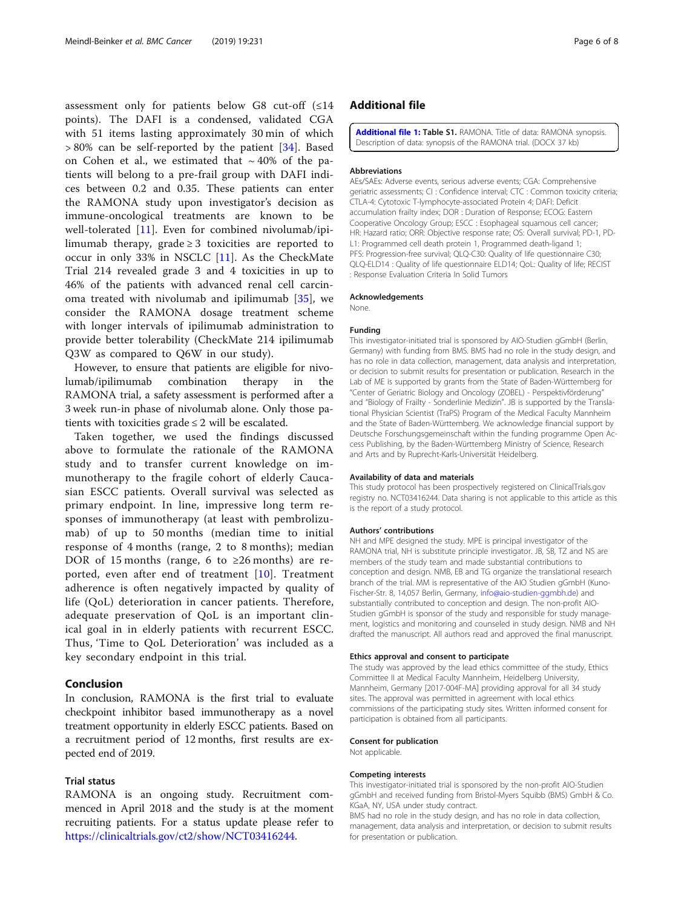<span id="page-5-0"></span>assessment only for patients below G8 cut-off  $(\leq 14)$ points). The DAFI is a condensed, validated CGA with 51 items lasting approximately 30 min of which  $> 80\%$  can be self-reported by the patient [\[34](#page-7-0)]. Based on Cohen et al., we estimated that  $\sim$  40% of the patients will belong to a pre-frail group with DAFI indices between 0.2 and 0.35. These patients can enter the RAMONA study upon investigator's decision as immune-oncological treatments are known to be well-tolerated [[11\]](#page-6-0). Even for combined nivolumab/ipilimumab therapy, grade  $\geq$  3 toxicities are reported to occur in only 33% in NSCLC [[11\]](#page-6-0). As the CheckMate Trial 214 revealed grade 3 and 4 toxicities in up to 46% of the patients with advanced renal cell carcinoma treated with nivolumab and ipilimumab [\[35](#page-7-0)], we consider the RAMONA dosage treatment scheme with longer intervals of ipilimumab administration to provide better tolerability (CheckMate 214 ipilimumab Q3W as compared to Q6W in our study).

However, to ensure that patients are eligible for nivolumab/ipilimumab combination therapy in the RAMONA trial, a safety assessment is performed after a 3 week run-in phase of nivolumab alone. Only those patients with toxicities grade  $\leq 2$  will be escalated.

Taken together, we used the findings discussed above to formulate the rationale of the RAMONA study and to transfer current knowledge on immunotherapy to the fragile cohort of elderly Caucasian ESCC patients. Overall survival was selected as primary endpoint. In line, impressive long term responses of immunotherapy (at least with pembrolizumab) of up to 50 months (median time to initial response of 4 months (range, 2 to 8 months); median DOR of 15 months (range, 6 to  $\geq 26$  months) are reported, even after end of treatment [[10\]](#page-6-0). Treatment adherence is often negatively impacted by quality of life (QoL) deterioration in cancer patients. Therefore, adequate preservation of QoL is an important clinical goal in in elderly patients with recurrent ESCC. Thus, 'Time to QoL Deterioration' was included as a key secondary endpoint in this trial.

#### Conclusion

In conclusion, RAMONA is the first trial to evaluate checkpoint inhibitor based immunotherapy as a novel treatment opportunity in elderly ESCC patients. Based on a recruitment period of 12 months, first results are expected end of 2019.

#### Trial status

RAMONA is an ongoing study. Recruitment commenced in April 2018 and the study is at the moment recruiting patients. For a status update please refer to [https://clinicaltrials.gov/ct2/show/NCT03416244.](https://clinicaltrials.gov/ct2/show/NCT03416244)

#### Additional file

[Additional file 1:](https://doi.org/10.1186/s12885-019-5446-2) Table S1. RAMONA. Title of data: RAMONA synopsis. Description of data: synopsis of the RAMONA trial. (DOCX 37 kb)

#### Abbreviations

AEs/SAEs: Adverse events, serious adverse events; CGA: Comprehensive geriatric assessments; CI : Confidence interval; CTC : Common toxicity criteria; CTLA-4: Cytotoxic T-lymphocyte-associated Protein 4; DAFI: Deficit accumulation frailty index; DOR : Duration of Response; ECOG: Eastern Cooperative Oncology Group; ESCC : Esophageal squamous cell cancer; HR: Hazard ratio; ORR: Objective response rate; OS: Overall survival; PD-1, PD-L1: Programmed cell death protein 1, Programmed death-ligand 1; PFS: Progression-free survival; QLQ-C30: Quality of life questionnaire C30; QLQ-ELD14 : Quality of life questionnaire ELD14; QoL: Quality of life; RECIST : Response Evaluation Criteria In Solid Tumors

#### Acknowledgements

None.

#### Funding

This investigator-initiated trial is sponsored by AIO-Studien gGmbH (Berlin, Germany) with funding from BMS. BMS had no role in the study design, and has no role in data collection, management, data analysis and interpretation, or decision to submit results for presentation or publication. Research in the Lab of ME is supported by grants from the State of Baden-Württemberg for "Center of Geriatric Biology and Oncology (ZOBEL) - Perspektivförderung" and "Biology of Frailty - Sonderlinie Medizin". JB is supported by the Translational Physician Scientist (TraPS) Program of the Medical Faculty Mannheim and the State of Baden-Württemberg. We acknowledge financial support by Deutsche Forschungsgemeinschaft within the funding programme Open Access Publishing, by the Baden-Württemberg Ministry of Science, Research and Arts and by Ruprecht-Karls-Universität Heidelberg.

#### Availability of data and materials

This study protocol has been prospectively registered on ClinicalTrials.gov registry no. NCT03416244. Data sharing is not applicable to this article as this is the report of a study protocol.

#### Authors' contributions

NH and MPE designed the study. MPE is principal investigator of the RAMONA trial, NH is substitute principle investigator. JB, SB, TZ and NS are members of the study team and made substantial contributions to conception and design. NMB, EB and TG organize the translational research branch of the trial. MM is representative of the AIO Studien gGmbH (Kuno-Fischer-Str. 8, 14,057 Berlin, Germany, [info@aio-studien-ggmbh.de\)](mailto:info@aio-studien-ggmbh.de) and substantially contributed to conception and design. The non-profit AIO-Studien gGmbH is sponsor of the study and responsible for study management, logistics and monitoring and counseled in study design. NMB and NH drafted the manuscript. All authors read and approved the final manuscript.

#### Ethics approval and consent to participate

The study was approved by the lead ethics committee of the study, Ethics Committee II at Medical Faculty Mannheim, Heidelberg University, Mannheim, Germany [2017-004F-MA] providing approval for all 34 study sites. The approval was permitted in agreement with local ethics commissions of the participating study sites. Written informed consent for participation is obtained from all participants.

#### Consent for publication

Not applicable.

#### Competing interests

This investigator-initiated trial is sponsored by the non-profit AIO-Studien gGmbH and received funding from Bristol-Myers Squibb (BMS) GmbH & Co. KGaA, NY, USA under study contract.

BMS had no role in the study design, and has no role in data collection, management, data analysis and interpretation, or decision to submit results for presentation or publication.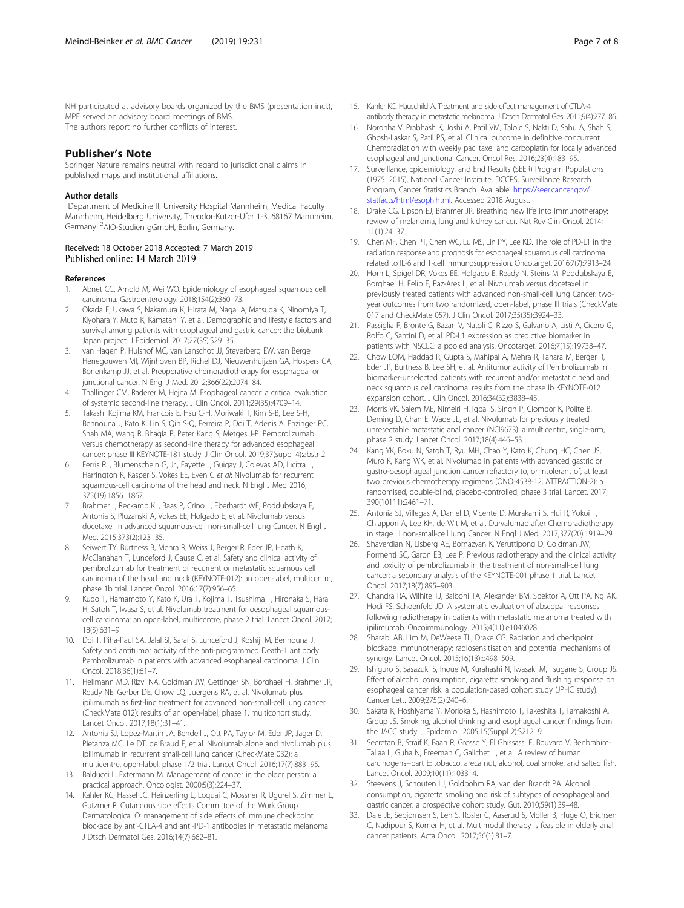<span id="page-6-0"></span>NH participated at advisory boards organized by the BMS (presentation incl.), MPE served on advisory board meetings of BMS. The authors report no further conflicts of interest.

#### Publisher's Note

Springer Nature remains neutral with regard to jurisdictional claims in published maps and institutional affiliations.

#### Author details

<sup>1</sup>Department of Medicine II, University Hospital Mannheim, Medical Faculty Mannheim, Heidelberg University, Theodor-Kutzer-Ufer 1-3, 68167 Mannheim, Germany. <sup>2</sup>AIO-Studien gGmbH, Berlin, Germany.

# Received: 18 October 2018 Accepted: 7 March 2019

#### References

- 1. Abnet CC, Arnold M, Wei WQ. Epidemiology of esophageal squamous cell carcinoma. Gastroenterology. 2018;154(2):360–73.
- 2. Okada E, Ukawa S, Nakamura K, Hirata M, Nagai A, Matsuda K, Ninomiya T, Kiyohara Y, Muto K, Kamatani Y, et al. Demographic and lifestyle factors and survival among patients with esophageal and gastric cancer: the biobank Japan project. J Epidemiol. 2017;27(3S):S29–35.
- van Hagen P, Hulshof MC, van Lanschot JJ, Steyerberg EW, van Berge Henegouwen MI, Wijnhoven BP, Richel DJ, Nieuwenhuijzen GA, Hospers GA, Bonenkamp JJ, et al. Preoperative chemoradiotherapy for esophageal or junctional cancer. N Engl J Med. 2012;366(22):2074–84.
- 4. Thallinger CM, Raderer M, Hejna M. Esophageal cancer: a critical evaluation of systemic second-line therapy. J Clin Oncol. 2011;29(35):4709–14.
- 5. Takashi Kojima KM, Francois E, Hsu C-H, Moriwaki T, Kim S-B, Lee S-H, Bennouna J, Kato K, Lin S, Qin S-Q, Ferreira P, Doi T, Adenis A, Enzinger PC, Shah MA, Wang R, Bhagia P, Peter Kang S, Metges J-P. Pembrolizumab versus chemotherapy as second-line therapy for advanced esophageal cancer: phase III KEYNOTE-181 study. J Clin Oncol. 2019;37(suppl 4):abstr 2.
- 6. Ferris RL, Blumenschein G, Jr., Fayette J, Guigay J, Colevas AD, Licitra L, Harrington K, Kasper S, Vokes EE, Even C et al: Nivolumab for recurrent squamous-cell carcinoma of the head and neck. N Engl J Med 2016, 375(19):1856–1867.
- 7. Brahmer J, Reckamp KL, Baas P, Crino L, Eberhardt WE, Poddubskaya E, Antonia S, Pluzanski A, Vokes EE, Holgado E, et al. Nivolumab versus docetaxel in advanced squamous-cell non-small-cell lung Cancer. N Engl J Med. 2015;373(2):123–35.
- 8. Seiwert TY, Burtness B, Mehra R, Weiss J, Berger R, Eder JP, Heath K, McClanahan T, Lunceford J, Gause C, et al. Safety and clinical activity of pembrolizumab for treatment of recurrent or metastatic squamous cell carcinoma of the head and neck (KEYNOTE-012): an open-label, multicentre, phase 1b trial. Lancet Oncol. 2016;17(7):956–65.
- Kudo T, Hamamoto Y, Kato K, Ura T, Kojima T, Tsushima T, Hironaka S, Hara H, Satoh T, Iwasa S, et al. Nivolumab treatment for oesophageal squamouscell carcinoma: an open-label, multicentre, phase 2 trial. Lancet Oncol. 2017; 18(5):631–9.
- 10. Doi T, Piha-Paul SA, Jalal SI, Saraf S, Lunceford J, Koshiji M, Bennouna J. Safety and antitumor activity of the anti-programmed Death-1 antibody Pembrolizumab in patients with advanced esophageal carcinoma. J Clin Oncol. 2018;36(1):61–7.
- 11. Hellmann MD, Rizvi NA, Goldman JW, Gettinger SN, Borghaei H, Brahmer JR, Ready NE, Gerber DE, Chow LQ, Juergens RA, et al. Nivolumab plus ipilimumab as first-line treatment for advanced non-small-cell lung cancer (CheckMate 012): results of an open-label, phase 1, multicohort study. Lancet Oncol. 2017;18(1):31–41.
- 12. Antonia SJ, Lopez-Martin JA, Bendell J, Ott PA, Taylor M, Eder JP, Jager D, Pietanza MC, Le DT, de Braud F, et al. Nivolumab alone and nivolumab plus ipilimumab in recurrent small-cell lung cancer (CheckMate 032): a multicentre, open-label, phase 1/2 trial. Lancet Oncol. 2016;17(7):883–95.
- 13. Balducci L, Extermann M. Management of cancer in the older person: a practical approach. Oncologist. 2000;5(3):224–37.
- 14. Kahler KC, Hassel JC, Heinzerling L, Loquai C, Mossner R, Ugurel S, Zimmer L, Gutzmer R. Cutaneous side effects Committee of the Work Group Dermatological O: management of side effects of immune checkpoint blockade by anti-CTLA-4 and anti-PD-1 antibodies in metastatic melanoma. J Dtsch Dermatol Ges. 2016;14(7):662–81.
- 15. Kahler KC, Hauschild A. Treatment and side effect management of CTLA-4 antibody therapy in metastatic melanoma. J Dtsch Dermatol Ges. 2011;9(4):277–86.
- 16. Noronha V, Prabhash K, Joshi A, Patil VM, Talole S, Nakti D, Sahu A, Shah S, Ghosh-Laskar S, Patil PS, et al. Clinical outcome in definitive concurrent Chemoradiation with weekly paclitaxel and carboplatin for locally advanced esophageal and junctional Cancer. Oncol Res. 2016;23(4):183–95.
- 17. Surveillance, Epidemiology, and End Results (SEER) Program Populations (1975–2015), National Cancer Institute, DCCPS, Surveillance Research Program, Cancer Statistics Branch. Available: [https://seer.cancer.gov/](https://seer.cancer.gov/statfacts/html/esoph.html) [statfacts/html/esoph.html.](https://seer.cancer.gov/statfacts/html/esoph.html) Accessed 2018 August.
- 18. Drake CG, Lipson EJ, Brahmer JR. Breathing new life into immunotherapy: review of melanoma, lung and kidney cancer. Nat Rev Clin Oncol. 2014; 11(1):24–37.
- 19. Chen MF, Chen PT, Chen WC, Lu MS, Lin PY, Lee KD. The role of PD-L1 in the radiation response and prognosis for esophageal squamous cell carcinoma related to IL-6 and T-cell immunosuppression. Oncotarget. 2016;7(7):7913–24.
- 20. Horn L, Spigel DR, Vokes EE, Holgado E, Ready N, Steins M, Poddubskaya E, Borghaei H, Felip E, Paz-Ares L, et al. Nivolumab versus docetaxel in previously treated patients with advanced non-small-cell lung Cancer: twoyear outcomes from two randomized, open-label, phase III trials (CheckMate 017 and CheckMate 057). J Clin Oncol. 2017;35(35):3924–33.
- 21. Passiglia F, Bronte G, Bazan V, Natoli C, Rizzo S, Galvano A, Listi A, Cicero G, Rolfo C, Santini D, et al. PD-L1 expression as predictive biomarker in patients with NSCLC: a pooled analysis. Oncotarget. 2016;7(15):19738–47.
- 22. Chow LQM, Haddad R, Gupta S, Mahipal A, Mehra R, Tahara M, Berger R, Eder JP, Burtness B, Lee SH, et al. Antitumor activity of Pembrolizumab in biomarker-unselected patients with recurrent and/or metastatic head and neck squamous cell carcinoma: results from the phase Ib KEYNOTE-012 expansion cohort. J Clin Oncol. 2016;34(32):3838–45.
- 23. Morris VK, Salem ME, Nimeiri H, Igbal S, Singh P, Ciombor K, Polite B, Deming D, Chan E, Wade JL, et al. Nivolumab for previously treated unresectable metastatic anal cancer (NCI9673): a multicentre, single-arm, phase 2 study. Lancet Oncol. 2017;18(4):446–53.
- 24. Kang YK, Boku N, Satoh T, Ryu MH, Chao Y, Kato K, Chung HC, Chen JS, Muro K, Kang WK, et al. Nivolumab in patients with advanced gastric or gastro-oesophageal junction cancer refractory to, or intolerant of, at least two previous chemotherapy regimens (ONO-4538-12, ATTRACTION-2): a randomised, double-blind, placebo-controlled, phase 3 trial. Lancet. 2017; 390(10111):2461–71.
- 25. Antonia SJ, Villegas A, Daniel D, Vicente D, Murakami S, Hui R, Yokoi T, Chiappori A, Lee KH, de Wit M, et al. Durvalumab after Chemoradiotherapy in stage III non-small-cell lung Cancer. N Engl J Med. 2017;377(20):1919–29.
- 26. Shaverdian N, Lisberg AE, Bornazyan K, Veruttipong D, Goldman JW, Formenti SC, Garon EB, Lee P. Previous radiotherapy and the clinical activity and toxicity of pembrolizumab in the treatment of non-small-cell lung cancer: a secondary analysis of the KEYNOTE-001 phase 1 trial. Lancet Oncol. 2017;18(7):895–903.
- 27. Chandra RA, Wilhite TJ, Balboni TA, Alexander BM, Spektor A, Ott PA, Ng AK, Hodi FS, Schoenfeld JD. A systematic evaluation of abscopal responses following radiotherapy in patients with metastatic melanoma treated with ipilimumab. Oncoimmunology. 2015;4(11):e1046028.
- 28. Sharabi AB, Lim M, DeWeese TL, Drake CG. Radiation and checkpoint blockade immunotherapy: radiosensitisation and potential mechanisms of synergy. Lancet Oncol. 2015;16(13):e498–509.
- 29. Ishiguro S, Sasazuki S, Inoue M, Kurahashi N, Iwasaki M, Tsugane S, Group JS. Effect of alcohol consumption, cigarette smoking and flushing response on esophageal cancer risk: a population-based cohort study (JPHC study). Cancer Lett. 2009;275(2):240–6.
- 30. Sakata K, Hoshiyama Y, Morioka S, Hashimoto T, Takeshita T, Tamakoshi A, Group JS. Smoking, alcohol drinking and esophageal cancer: findings from the JACC study. J Epidemiol. 2005;15(Suppl 2):S212–9.
- 31. Secretan B, Straif K, Baan R, Grosse Y, El Ghissassi F, Bouvard V, Benbrahim-Tallaa L, Guha N, Freeman C, Galichet L, et al. A review of human carcinogens--part E: tobacco, areca nut, alcohol, coal smoke, and salted fish. Lancet Oncol. 2009;10(11):1033–4.
- 32. Steevens J, Schouten LJ, Goldbohm RA, van den Brandt PA. Alcohol consumption, cigarette smoking and risk of subtypes of oesophageal and gastric cancer: a prospective cohort study. Gut. 2010;59(1):39–48.
- 33. Dale JE, Sebjornsen S, Leh S, Rosler C, Aaserud S, Moller B, Fluge O, Erichsen C, Nadipour S, Korner H, et al. Multimodal therapy is feasible in elderly anal cancer patients. Acta Oncol. 2017;56(1):81–7.